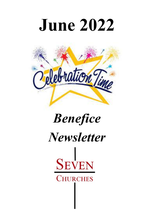



# *Benefice Newsletter***SEVEN CHURCHES**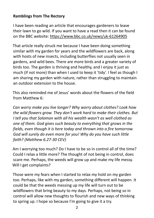#### **Ramblings from The Rectory**

I have been reading an article that encourages gardeners to leave their lawn to go wild. If you want to have a read then it can be found on the BBC website: https://www.bbc.co.uk/news/uk-61264905

That article really struck me because I have been doing something similar with my garden for years and the wildflowers are back, along with hosts of new insects, including butterflies not usually seen in gardens, and wild bees. There are more birds and a greater variety of birds too. The garden is thriving and healthy, and I enjoy it just as much (if not more) than when I used to keep it 'tidy'. I feel as though I am sharing my garden with nature, rather than struggling to maintain an outdoor extension to the house.

This also reminded me of Jesus' words about the flowers of the field from Matthew 6:

*Can worry make you live longer? Why worry about clothes? Look how the wild flowers grow. They don't work hard to make their clothes. But I tell you that Solomon with all his wealth wasn't as well clothed as one of them. God gives such beauty to everything that grows in the fields, even though it is here today and thrown into a fire tomorrow. God will surely do even more for you! Why do you have such little faith? (Matthew 6.27-30 CEV)*

Am I worrying too much? Do I have to be so in control all of the time? Could I relax a little more? The thought of not being in control, does scare me. Perhaps, the weeds will grow up and make my life messy. Will I get complaints?

Those were my fears when I started to relax my hold on my garden too. Perhaps, like with my garden, something different will happen. It could be that the weeds messing up my life will turn out to be wildflowers that bring beauty to my days. Perhaps, not being so in control will allow new thoughts to flourish and new ways of thinking to spring up. I hope so because I'm going to give it a try.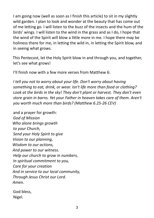I am going now (well as soon as I finish this article) to sit in my slightly wild garden. I plan to look and wonder at the beauty that has come out of me letting go. I will listen to the buzz of the insects and the hum of the birds' wings. I will listen to the wind in the grass and as I do, I hope that the wind of the Spirit will blow a little more in me. I hope there may be holiness there for me, in letting the wild in, in letting the Spirit blow, and in seeing what grows.

This Pentecost, let the Holy Spirit blow in and through you, and together, let's see what grows!

I'll finish now with a few more verses from Matthew 6:

*I tell you not to worry about your life. Don't worry about having something to eat, drink, or wear. Isn't life more than food or clothing? Look at the birds in the sky! They don't plant or harvest. They don't even store grain in barns. Yet your Father in heaven takes care of them. Aren't you worth much more than birds? (Matthew 6.25-26 CEV)*

and a prayer for growth: *God of Mission Who alone brings growth to your Church, Send your Holy Spirit to give Vision to our planning, Wisdom to our actions, And power to our witness. Help our church to grow in numbers, In spiritual commitment to you, Care for your creation And in service to our local community, Through Jesus Christ our Lord. Amen.*

God bless, Nigel.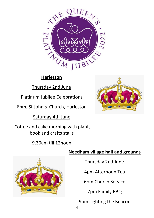

# Thursday 2nd June

Platinum Jubilee Celebrations

6pm, St John's Church, Harleston.

Saturday 4th June

Coffee and cake morning with plant, book and crafts stalls

# 9.30am till 12noon





Thursday 2nd June

4pm Afternoon Tea

6pm Church Service

7pm Family BBQ

9pm Lighting the Beacon

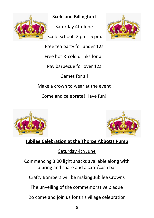

**Scole and Billingford**

Saturday 4th June

Scole School- 2 pm - 5 pm.



Free tea party for under 12s

Free hot & cold drinks for all

Pay barbecue for over 12s.

Games for all

Make a crown to wear at the event

Come and celebrate! Have fun!





# **Jubilee Celebration at the Thorpe Abbotts Pump**

Saturday 4th June

Commencing 3.00 light snacks available along with a bring and share and a card/cash bar

Crafty Bombers will be making Jubilee Crowns

The unveiling of the commemorative plaque

Do come and join us for this village celebration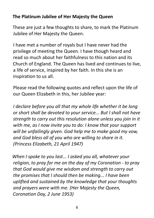### **The Platinum Jubilee of Her Majesty the Queen**

These are just a few thoughts to share, to mark the Platinum Jubilee of Her Majesty the Queen.

I have met a number of royals but I have never had the privilege of meeting the Queen. I have though heard and read so much about her faithfulness to this nation and its Church of England. The Queen has lived and continues to live, a life of service, inspired by her faith. In this she is an inspiration to us all.

Please read the following quotes and reflect upon the life of our Queen Elizabeth in this, her Jubilee year:

*I declare before you all that my whole life whether it be long or short shall be devoted to your service... But I shall not have strength to carry out this resolution alone unless you join in it with me, as I now invite you to do: I know that your support will be unfailingly given. God help me to make good my vow, and God bless all of you who are willing to share in it. (Princess Elizabeth, 21 April 1947)*

*When I spoke to you last... I asked you all, whatever your religion, to pray for me on the day of my Coronation - to pray that God would give me wisdom and strength to carry out the promises that I should then be making... I have been uplifted and sustained by the knowledge that your thoughts and prayers were with me. (Her Majesty the Queen, Coronation Day, 2 June 1953)*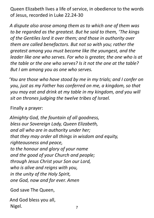Queen Elizabeth lives a life of service, in obedience to the words of Jesus, recorded in Luke 22.24-30

*A dispute also arose among them as to which one of them was to be regarded as the greatest. But he said to them, 'The kings of the Gentiles lord it over them; and those in authority over them are called benefactors. But not so with you; rather the greatest among you must become like the youngest, and the leader like one who serves. For who is greater, the one who is at the table or the one who serves? Is it not the one at the table? But I am among you as one who serves.*

*'You are those who have stood by me in my trials; and I confer on you, just as my Father has conferred on me, a kingdom, so that you may eat and drink at my table in my kingdom, and you will sit on thrones judging the twelve tribes of Israel.*

Finally a prayer:

*Almighty God, the fountain of all goodness, bless our Sovereign Lady, Queen Elizabeth, and all who are in authority under her; that they may order all things in wisdom and equity, righteousness and peace, to the honour and glory of your name and the good of your Church and people; through Jesus Christ your Son our Lord, who is alive and reigns with you, in the unity of the Holy Spirit, one God, now and for ever. Amen*

God save The Queen,

And God bless you all, Nigel.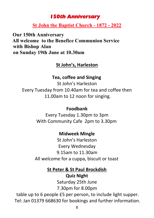# *150th Anniversary*

#### **St John the Baptist Church - 1872 - 2022**

**Our 150th Anniversary All welcome to the Benefice Communion Service with Bishop Alan on Sunday 19th June at 10.30am**

## **St John's, Harleston**

#### **Tea, coffee and Singing**

St John's Harleston Every Tuesday from 10.40am for tea and coffee then 11.00am to 12 noon for singing.

#### **Foodbank**

Every Tuesday 1.30pm to 3pm With Community Cafe 2pm to 3.30pm

# **Midweek Mingle**

St John's Harleston Every Wednesday 9.15am to 11.30am All welcome for a cuppa, biscuit or toast

### **St Peter & St Paul Brockdish**

**Quiz Night**

Saturday 25th June 7.30pm for 8.00pm

table up to 6 people £5 per person, to include light supper. Tel: Jan 01379 668630 for bookings and further information.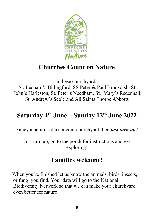

# **Churches Count on Nature**

in these churchyards: St. Leonard's Billingford, SS Peter & Paul Brockdish, St. John's Harleston, St. Peter's Needham, St. Mary's Redenhall, St. Andrew's Scole and All Saints Thorpe Abbotts

# **Saturday 4th June – Sunday 12th June 2022**

Fancy a nature safari in your churchyard then *just turn up*?

Just turn up, go to the porch for instructions and get exploring!

# **Families welcome!**

When you're finished let us know the animals, birds, insects, or fungi you find. Your data will go to the National Biodiversity Network so that we can make your churchyard even better for nature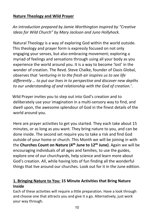#### **Nature Theology and Wild Prayer**

*An introduction prepared by Jamie Worthington inspired by "Creative Ideas for Wild Church" by Mary Jackson and Juno Hollyhock.*

Natural Theology is a way of exploring God within the world outside. This theology and prayer form is expressly focused on not only engaging your senses, but also embracing movement; exploring a myriad of feelings and sensations through using all your body as you experience the world around you. It is a way to become 'lost' in the wonder of creation. The Revd. Steve Chalke, founder of Oasis Global, observes that *'venturing in to the fresh air inspires us to see life differently … to put our lives in to perspective and discover new depths to our understanding of and relationship with the God of creation.'*.

Wild Prayer invites you to step out into God's creation and to deliberately use your imagination in a multi-sensory way to find, and dwell upon, the awesome splendour of God in the finest details of the world around you.

Here are prayer activities to get you started. They each take about 15 minutes, or as long as you want. They bring nature to you, and can be done inside. The second set require you to take a risk and find God outside of your home or church. This Month we will be joining in with the **Churches Count on Nature (4�� June to 12�� June)**. Again we will be encouraging individuals of all ages and families, to use the guides, explore one of our churchyards, help science and learn more about God's creation. All, while having lots of fun finding all the wonderful things that live around our churches. Look out for it in the June edition.

#### **1. Bringing Nature to You: 15 Minute Activities that Bring Nature Inside**

Each of these activities will require a little preparation. Have a look through and choose one that attracts you and give it a go. Alternatively, just work your way through.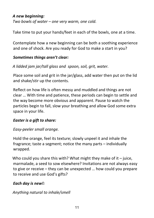#### *A new beginning: Two bowls of water – one very warm, one cold.*

Take time to put your hands/feet in each of the bowls, one at a time.

Contemplate how a new beginning can be both a soothing experience and one of shock. Are you ready for God to make a start in you?

#### *Sometimes things aren't clear:*

*A lidded jam jar/tall glass and spoon, soil, grit, water.*

Place some soil and grit in the jar/glass, add water then put on the lid and shake/stir up the contents.

Reflect on how life is often messy and muddled and things are not clear … With time and patience, these periods can begin to settle and the way become more obvious and apparent. Pause to watch the particles begin to fall, slow your breathing and allow God some extra space in your life.

#### *Easter is a gift to share:*

#### *Easy-peeler small orange.*

Hold the orange, feel its texture; slowly unpeel it and inhale the fragrance; taste a segment; notice the many parts – individually wrapped.

Who could you share this with? What might they make of it  $-$  juice, marmalade, a seed to sow elsewhere? Invitations are not always easy to give or receive – they can be unexpected … how could you prepare to receive and use God's gifts?

#### *Each day is new!:*

#### *Anything natural to inhale/smell*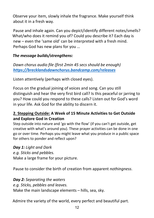Observe your item, slowly inhale the fragrance. Make yourself think about it in a fresh way.

Pause and inhale again. Can you depict/identify different notes/smells? What/who does it remind you of? Could you describe it? Each day is new – even the 'same old' can be interpreted with a fresh mind. Perhaps God has new plans for you …

#### *The message builds/strengthens:*

*Dawn chorus audio file (first 2min 45 secs should be enough) https://brecklandsdawnchorus.bandcamp.com/releases*

Listen attentively (perhaps with closed eyes).

Focus on the gradual joining of voices and song. Can you still distinguish and hear the very first bird call? Is this peaceful or jarring to you? How could you respond to these calls? Listen out for God's word in your life. Ask God for the ability to discern it.

#### **2. Stepping Outside: A Week of 15 Minute Activities to Get Outside and Explore God in Creation**

Step outside into nature and 'go with the flow' (if you can't get outside, get creative with what's around you). These prayer activities can be done in one go or over time. Perhaps you might leave what you produce in a public space for others to ponder and reflect upon?

#### *Day 1: Light and Dark*

*e.g. Sticks and pebbles.*

Make a large frame for your picture.

Pause to consider the birth of creation from apparent *nothingness*.

*Day 2: Separating the waters e.g. Sticks, pebbles and leaves.* Make the main landscape elements – hills, sea, sky.

Admire the variety of the world, every perfect and beautiful part.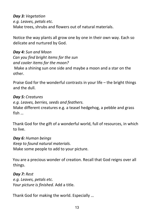*Day 3: Vegetation e.g. Leaves, petals etc.* Make trees, shrubs and flowers out of natural materials.

Notice the way plants all grow one by one in their own way. Each so delicate and nurtured by God.

*Day 4: Sun and Moon Can you find bright items for the sun and cooler items for the moon?* Make a shining sun one side and maybe a moon and a star on the other.

Praise God for the wonderful contrasts in your life – the bright things and the dull.

#### *Day 5: Creatures*

*e.g. Leaves, berries, seeds and feathers.* Make different creatures e.g. a teasel hedgehog, a pebble and grass fish …

Thank God for the gift of a wonderful world, full of resources, in which to live.

*Day 6: Human beings Keep to found natural materials.* Make some people to add to your picture.

You are a precious wonder of creation. Recall that God reigns over all things.

*Day 7: Rest e.g. Leaves, petals etc. Your picture is finished.* Add a title.

Thank God for making the world. Especially …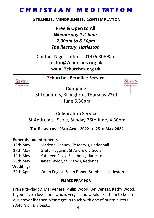# **CHRISTIAN MEDITATION**

#### **STILLNESS, MINDFULNESS, CONTEMPLATION**

Free & Open to All **Wednesday 1st June** 7.30pm to 8.30pm **The Rectory, Harleston** 

Contact Nigel Tuffnell- 01379 308905 rector@7churches.org.uk www.7churches.org.uk

#### **7churches Renefice Services**

**SEVEN** 



**Compline** 

St Leonard's, Billingford, Thursday 23rd June 6.30pm

### **Celebration Service**

St Andrew's, Scole, Sunday 26th June, 4.30pm

#### THE REGISTERS - 25TH APRIL 2022 TO 25TH MAY 2022

#### **Funerals and Interments**

13th May Marlene Denney, St Mary's, Redenhall Greta Huggins, St Andrew's, Scole 17th May Kathleen Elsey, St John's, Harleston 19th May Janet Taylor, St Mary's, Redenhall 25th May **Weddings** 30th April Catlin English & Ian Roper, St John's, Harleston

#### **PIFASE PRAY FOR**

Fran Pitt-Pladdy, Mel Veness, Philip Wood, Lyn Veness, Kathy Wood. If you have a loved one who is very ill and would like them to be on our prayer list then please get in touch with one of our ministers. (details on the back).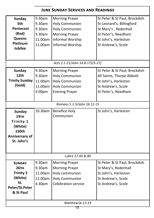#### **JUNE SUNDAY SERVICES AND READINGS**

| <b>Sunday</b>                   | 9.30am  | <b>Morning Prayer</b> | St Peter & St Paul, Brockdish |  |  |
|---------------------------------|---------|-----------------------|-------------------------------|--|--|
| 5th                             | 9.30am  | <b>Holy Communion</b> | St Leonard's, Billingford     |  |  |
| <b>Pentecost</b>                | 9.30am  | <b>Holy Communion</b> | St Mary's, Redenhall          |  |  |
| (Red)                           | 9.30am  | <b>Morning Prayer</b> | St Peter's, Needham           |  |  |
| <b>Queens</b>                   | 11.00am | Informal Worship      | St John's, Harleston          |  |  |
| Platinum                        | 11.00am | Informal Worship      | St Andrew's, Scole            |  |  |
| <b>Jubilee</b>                  |         |                       |                               |  |  |
|                                 |         |                       |                               |  |  |
| Acts 2.1-21/John 14.8-17[25-27] |         |                       |                               |  |  |
| <b>Sunday</b>                   | 9.30am  | <b>Morning Prayer</b> | St Peter & St Paul, Brockdish |  |  |
| 12th                            | 9.30am  | <b>Holy Communion</b> | All Saints, Thorpe Abbott     |  |  |
| <b>Trinity Sunday</b>           | 11.00am | <b>Holy Communion</b> | St John's, Harleston          |  |  |
| (Gold)                          | 11.00am | <b>Holy Communion</b> | St Andrew's, Scole            |  |  |
|                                 | 4.00pm  | <b>Evening Prayer</b> | St Peter's, Needham           |  |  |
|                                 |         |                       |                               |  |  |
| Romans 5.1-5/John 16.12-15      |         |                       |                               |  |  |
| <b>Sunday</b>                   | 10.30am | <b>Benefice Holy</b>  | St John's, Harleston          |  |  |
| <b>19тн</b>                     |         | Communion             |                               |  |  |
| Trinity 1                       |         |                       |                               |  |  |
| (White)                         |         |                       |                               |  |  |
| 150th                           |         |                       |                               |  |  |
| Anniversary of                  |         |                       |                               |  |  |
| St. John's                      |         |                       |                               |  |  |
|                                 |         |                       |                               |  |  |
|                                 |         |                       |                               |  |  |
| Luke1.57-66 & 80                |         |                       |                               |  |  |
| <b>SUNDAY</b>                   | 9.30am  | <b>Morning Prayer</b> | St Peter & St Paul, Brockdish |  |  |
| <b>26тн</b>                     | 9.30am  | <b>Morning Prayer</b> | St Mary's, Redenhall          |  |  |
| <b>Trinity 2</b>                | 11.00am | Holy communion        | St John's, Harleston          |  |  |
| (White)                         | 11.00am | <b>Holy Communion</b> | St Andrew's, Scole            |  |  |
| St.                             | 4.30pm  | Celebration service   | St Andrew's, Scole            |  |  |
| Peter/St.Peter                  |         |                       |                               |  |  |
| & St Paul                       |         |                       |                               |  |  |
|                                 |         |                       |                               |  |  |
| Matthew16.13-19                 |         |                       |                               |  |  |